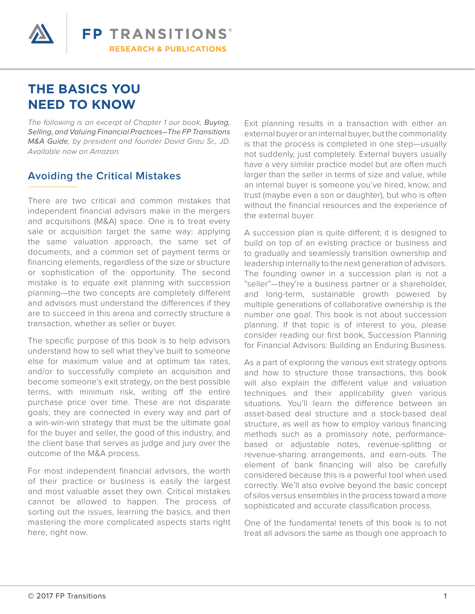

# **THE BASICS YOU NEED TO KNOW**

*The following is an excerpt of Chapter 1 our book, Buying, Selling, and Valuing Financial Practices–The FP Transitions M&A Guide, by president and founder David Grau Sr., JD. Available now on Amazon.*

## **Avoiding the Critical Mistakes**

There are two critical and common mistakes that independent financial advisors make in the mergers and acquisitions (M&A) space. One is to treat every sale or acquisition target the same way: applying the same valuation approach, the same set of documents, and a common set of payment terms or financing elements, regardless of the size or structure or sophistication of the opportunity. The second mistake is to equate exit planning with succession planning—the two concepts are completely different and advisors must understand the differences if they are to succeed in this arena and correctly structure a transaction, whether as seller or buyer.

The specific purpose of this book is to help advisors understand how to sell what they've built to someone else for maximum value and at optimum tax rates, and/or to successfully complete an acquisition and become someone's exit strategy, on the best possible terms, with minimum risk, writing off the entire purchase price over time. These are not disparate goals; they are connected in every way and part of a win-win-win strategy that must be the ultimate goal for the buyer and seller, the good of this industry, and the client base that serves as judge and jury over the outcome of the M&A process.

For most independent financial advisors, the worth of their practice or business is easily the largest and most valuable asset they own. Critical mistakes cannot be allowed to happen. The process of sorting out the issues, learning the basics, and then mastering the more complicated aspects starts right here, right now.

Exit planning results in a transaction with either an external buyer or an internal buyer, but the commonality is that the process is completed in one step—usually not suddenly, just completely. External buyers usually have a very similar practice model but are often much larger than the seller in terms of size and value, while an internal buyer is someone you've hired, know, and trust (maybe even a son or daughter), but who is often without the financial resources and the experience of the external buyer.

A succession plan is quite different; it is designed to build on top of an existing practice or business and to gradually and seamlessly transition ownership and leadership internally to the next generation of advisors. The founding owner in a succession plan is not a "seller"—they're a business partner or a shareholder, and long-term, sustainable growth powered by multiple generations of collaborative ownership is the number one goal. This book is not about succession planning. If that topic is of interest to you, please consider reading our first book, Succession Planning for Financial Advisors: Building an Enduring Business.

As a part of exploring the various exit strategy options and how to structure those transactions, this book will also explain the different value and valuation techniques and their applicability given various situations. You'll learn the difference between an asset-based deal structure and a stock-based deal structure, as well as how to employ various financing methods such as a promissory note, performancebased or adjustable notes, revenue-splitting or revenue-sharing arrangements, and earn-outs. The element of bank financing will also be carefully considered because this is a powerful tool when used correctly. We'll also evolve beyond the basic concept of silos versus ensembles in the process toward a more sophisticated and accurate classification process.

One of the fundamental tenets of this book is to not treat all advisors the same as though one approach to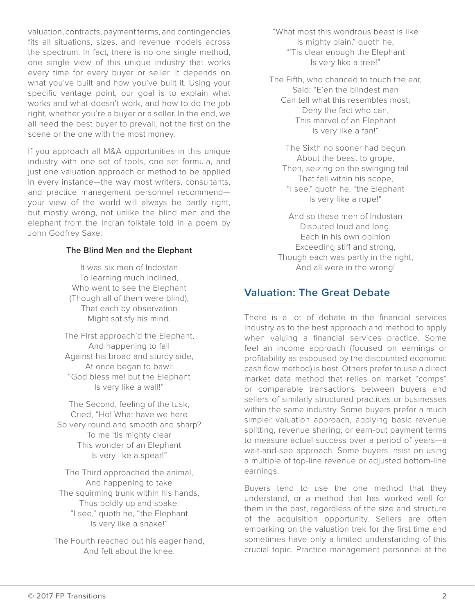valuation, contracts, payment terms, and contingencies fits all situations, sizes, and revenue models across the spectrum. In fact, there is no one single method, one single view of this unique industry that works every time for every buyer or seller. It depends on what you've built and how you've built it. Using your specific vantage point, our goal is to explain what works and what doesn't work, and how to do the job right, whether you're a buyer or a seller. In the end, we all need the best buyer to prevail, not the first on the scene or the one with the most money.

If you approach all M&A opportunities in this unique industry with one set of tools, one set formula, and just one valuation approach or method to be applied in every instance—the way most writers, consultants, and practice management personnel recommend your view of the world will always be partly right, but mostly wrong, not unlike the blind men and the elephant from the Indian folktale told in a poem by John Godfrey Saxe:

#### **The Blind Men and the Elephant**

It was six men of Indostan To learning much inclined, Who went to see the Elephant (Though all of them were blind), That each by observation Might satisfy his mind.

The First approach'd the Elephant, And happening to fall Against his broad and sturdy side, At once began to bawl: "God bless me! but the Elephant Is very like a wall!"

The Second, feeling of the tusk, Cried, "Ho! What have we here So very round and smooth and sharp? To me 'tis mighty clear This wonder of an Elephant Is very like a spear!"

The Third approached the animal, And happening to take The squirming trunk within his hands, Thus boldly up and spake: "I see," quoth he, "the Elephant Is very like a snake!"

The Fourth reached out his eager hand, And felt about the knee.

"What most this wondrous beast is like Is mighty plain," quoth he, "'Tis clear enough the Elephant Is very like a tree!"

The Fifth, who chanced to touch the ear, Said: "E'en the blindest man Can tell what this resembles most; Deny the fact who can, This marvel of an Elephant Is very like a fan!"

The Sixth no sooner had begun About the beast to grope, Then, seizing on the swinging tail That fell within his scope, "I see," quoth he, "the Elephant Is very like a rope!"

And so these men of Indostan Disputed loud and long, Each in his own opinion Exceeding stiff and strong, Though each was partly in the right, And all were in the wrong!

#### **Valuation: The Great Debate**

There is a lot of debate in the financial services industry as to the best approach and method to apply when valuing a financial services practice. Some feel an income approach (focused on earnings or profitability as espoused by the discounted economic cash flow method) is best. Others prefer to use a direct market data method that relies on market "comps" or comparable transactions between buyers and sellers of similarly structured practices or businesses within the same industry. Some buyers prefer a much simpler valuation approach, applying basic revenue splitting, revenue sharing, or earn-out payment terms to measure actual success over a period of years—a wait-and-see approach. Some buyers insist on using a multiple of top-line revenue or adjusted bottom-line earnings.

Buyers tend to use the one method that they understand, or a method that has worked well for them in the past, regardless of the size and structure of the acquisition opportunity. Sellers are often embarking on the valuation trek for the first time and sometimes have only a limited understanding of this crucial topic. Practice management personnel at the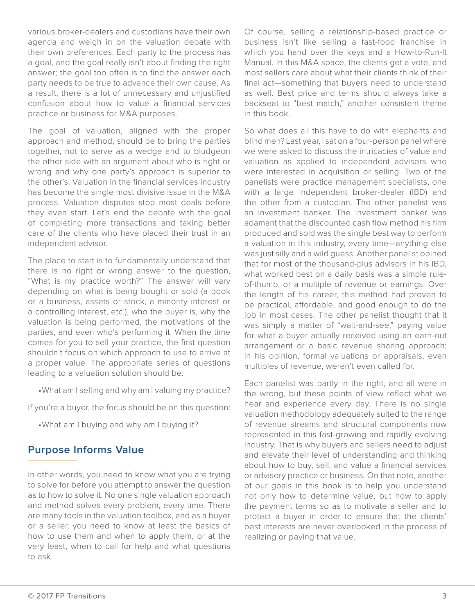various broker-dealers and custodians have their own agenda and weigh in on the valuation debate with their own preferences. Each party to the process has a goal, and the goal really isn't about finding the right answer; the goal too often is to find the answer each party needs to be true to advance their own cause. As a result, there is a lot of unnecessary and unjustified confusion about how to value a financial services practice or business for M&A purposes.

The goal of valuation, aligned with the proper approach and method, should be to bring the parties together, not to serve as a wedge and to bludgeon the other side with an argument about who is right or wrong and why one party's approach is superior to the other's. Valuation in the financial services industry has become the single most divisive issue in the M&A process. Valuation disputes stop most deals before they even start. Let's end the debate with the goal of completing more transactions and taking better care of the clients who have placed their trust in an independent advisor.

The place to start is to fundamentally understand that there is no right or wrong answer to the question, "What is my practice worth?" The answer will vary depending on what is being bought or sold (a book or a business, assets or stock, a minority interest or a controlling interest, etc.), who the buyer is, why the valuation is being performed, the motivations of the parties, and even who's performing it. When the time comes for you to sell your practice, the first question shouldn't focus on which approach to use to arrive at a proper value. The appropriate series of questions leading to a valuation solution should be:

•What am I selling and why am I valuing my practice?

If you're a buyer, the focus should be on this question:

•What am I buying and why am I buying it?

## **Purpose Informs Value**

In other words, you need to know what you are trying to solve for before you attempt to answer the question as to how to solve it. No one single valuation approach and method solves every problem, every time. There are many tools in the valuation toolbox, and as a buyer or a seller, you need to know at least the basics of how to use them and when to apply them, or at the very least, when to call for help and what questions to ask.

Of course, selling a relationship-based practice or business isn't like selling a fast-food franchise in which you hand over the keys and a How-to-Run-It Manual. In this M&A space, the clients get a vote, and most sellers care about what their clients think of their final act—something that buyers need to understand as well. Best price and terms should always take a backseat to "best match," another consistent theme in this book.

So what does all this have to do with elephants and blind men? Last year, I sat on a four-person panel where we were asked to discuss the intricacies of value and valuation as applied to independent advisors who were interested in acquisition or selling. Two of the panelists were practice management specialists, one with a large independent broker-dealer (IBD) and the other from a custodian. The other panelist was an investment banker. The investment banker was adamant that the discounted cash flow method his firm produced and sold was the single best way to perform a valuation in this industry, every time—anything else was just silly and a wild guess. Another panelist opined that for most of the thousand-plus advisors in his IBD, what worked best on a daily basis was a simple ruleof-thumb, or a multiple of revenue or earnings. Over the length of his career, this method had proven to be practical, affordable, and good enough to do the job in most cases. The other panelist thought that it was simply a matter of "wait-and-see," paying value for what a buyer actually received using an earn-out arrangement or a basic revenue sharing approach; in his opinion, formal valuations or appraisals, even multiples of revenue, weren't even called for.

Each panelist was partly in the right, and all were in the wrong, but these points of view reflect what we hear and experience every day. There is no single valuation methodology adequately suited to the range of revenue streams and structural components now represented in this fast-growing and rapidly evolving industry. That is why buyers and sellers need to adjust and elevate their level of understanding and thinking about how to buy, sell, and value a financial services or advisory practice or business. On that note, another of our goals in this book is to help you understand not only how to determine value, but how to apply the payment terms so as to motivate a seller and to protect a buyer in order to ensure that the clients' best interests are never overlooked in the process of realizing or paying that value.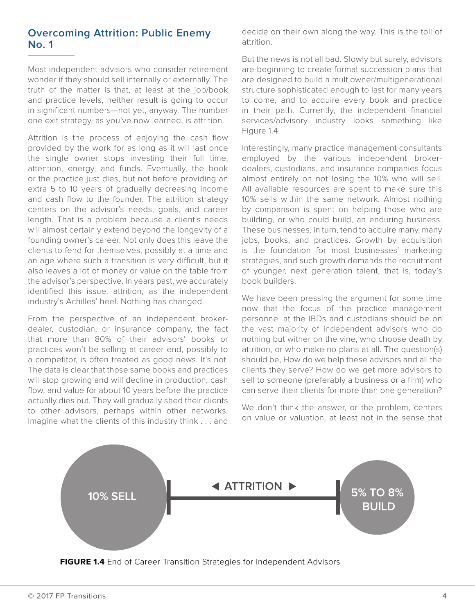#### **Overcoming Attrition: Public Enemy No. 1**

Most independent advisors who consider retirement wonder if they should sell internally or externally. The truth of the matter is that, at least at the job/book and practice levels, neither result is going to occur in significant numbers—not yet, anyway. The number one exit strategy, as you've now learned, is attrition.

Attrition is the process of enjoying the cash flow provided by the work for as long as it will last once the single owner stops investing their full time, attention, energy, and funds. Eventually, the book or the practice just dies, but not before providing an extra 5 to 10 years of gradually decreasing income and cash flow to the founder. The attrition strategy centers on the advisor's needs, goals, and career length. That is a problem because a client's needs will almost certainly extend beyond the longevity of a founding owner's career. Not only does this leave the clients to fend for themselves, possibly at a time and an age where such a transition is very difficult, but it also leaves a lot of money or value on the table from the advisor's perspective. In years past, we accurately identified this issue, attrition, as the independent industry's Achilles' heel. Nothing has changed.

From the perspective of an independent brokerdealer, custodian, or insurance company, the fact that more than 80% of their advisors' books or practices won't be selling at career end, possibly to a competitor, is often treated as good news. It's not. The data is clear that those same books and practices will stop growing and will decline in production, cash flow, and value for about 10 years before the practice actually dies out. They will gradually shed their clients to other advisors, perhaps within other networks. Imagine what the clients of this industry think . . . and

decide on their own along the way. This is the toll of attrition.

But the news is not all bad. Slowly but surely, advisors are beginning to create formal succession plans that are designed to build a multiowner/multigenerational structure sophisticated enough to last for many years to come, and to acquire every book and practice in their path. Currently, the independent financial services/advisory industry looks something like Figure 1.4.

Interestingly, many practice management consultants employed by the various independent brokerdealers, custodians, and insurance companies focus almost entirely on not losing the 10% who will sell. All available resources are spent to make sure this 10% sells within the same network. Almost nothing by comparison is spent on helping those who are building, or who could build, an enduring business. These businesses, in turn, tend to acquire many, many jobs, books, and practices. Growth by acquisition is the foundation for most businesses' marketing strategies, and such growth demands the recruitment of younger, next generation talent, that is, today's book builders.

We have been pressing the argument for some time now that the focus of the practice management personnel at the IBDs and custodians should be on the vast majority of independent advisors who do nothing but wither on the vine, who choose death by attrition, or who make no plans at all. The question(s) should be, How do we help these advisors and all the clients they serve? How do we get more advisors to sell to someone (preferably a business or a firm) who can serve their clients for more than one generation?

We don't think the answer, or the problem, centers on value or valuation, at least not in the sense that



**FIGURE 1.4** End of Career Transition Strategies for Independent Advisors